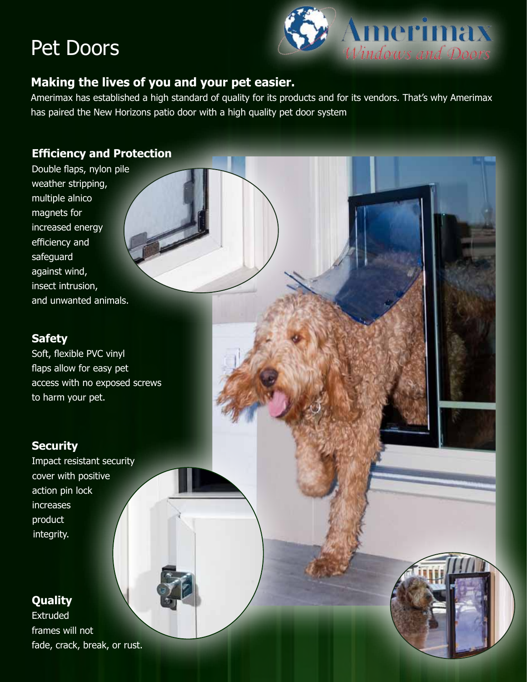# Pet Doors



## **Making the lives of you and your pet easier.**

Amerimax has established a high standard of quality for its products and for its vendors. That's why Amerimax has paired the New Horizons patio door with a high quality pet door system

### **Efficiency and Protection**

Double flaps, nylon pile weather stripping, multiple alnico magnets for increased energy efficiency and safeguard against wind, insect intrusion, and unwanted animals.

#### **Safety**

Soft, flexible PVC vinyl flaps allow for easy pet access with no exposed screws to harm your pet.

### **Security**

Impact resistant security cover with positive action pin lock increases product integrity.

### **Quality**

Extruded frames will not fade, crack, break, or rust.